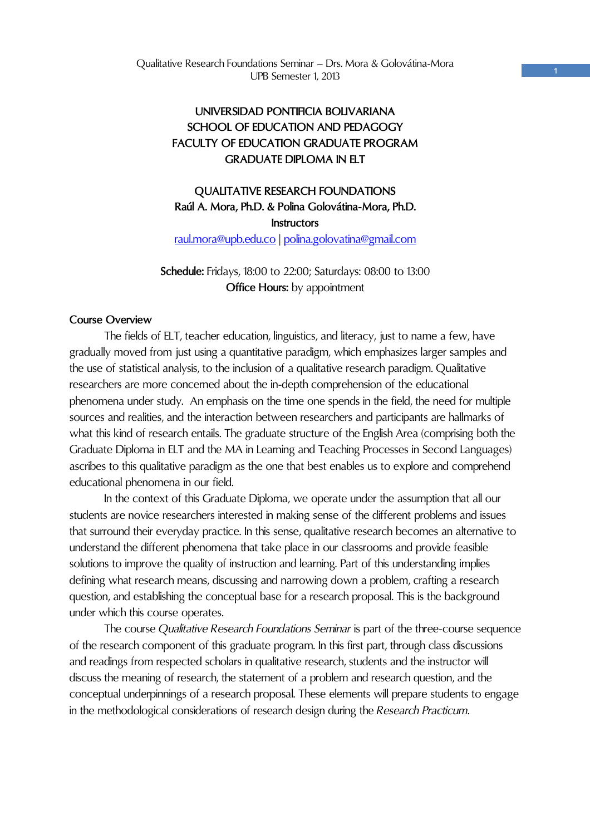# **UNIVERSIDAD PONTIFICIA BOLIVARIANA SCHOOL OF EDUCATION AND PEDAGOGY FACULTY OF EDUCATION GRADUATE PROGRAM GRADUATE DIPLOMA IN FIT**

# **QUALITATIVE RESEARCH FOUNDATIONS Raúl A. Mora, Ph.D. & Polina Golovátina-Mora, Ph.D. Instructors**  raul.mora@upb.edu.co | polina.golovatina@gmail.com

## **Schedule:** Fridays, 18:00 to 22:00; Saturdays: 08:00 to 13:00 **Office Hours:** by appointment

### **Course Overview**

 The fields of ELT, teacher education, linguistics, and literacy, just to name a few, have gradually moved from just using a quantitative paradigm, which emphasizes larger samples and the use of statistical analysis, to the inclusion of a qualitative research paradigm. Qualitative researchers are more concerned about the in-depth comprehension of the educational phenomena under study. An emphasis on the time one spends in the field, the need for multiple sources and realities, and the interaction between researchers and participants are hallmarks of what this kind of research entails. The graduate structure of the English Area (comprising both the Graduate Diploma in ELT and the MA in Learning and Teaching Processes in Second Languages) ascribes to this qualitative paradigm as the one that best enables us to explore and comprehend educational phenomena in our field.

 In the context of this Graduate Diploma, we operate under the assumption that all our students are novice researchers interested in making sense of the different problems and issues that surround their everyday practice. In this sense, qualitative research becomes an alternative to understand the different phenomena that take place in our classrooms and provide feasible solutions to improve the quality of instruction and learning. Part of this understanding implies defining what research means, discussing and narrowing down a problem, crafting a research question, and establishing the conceptual base for a research proposal. This is the background under which this course operates.

 The course *Qualitative Research Foundations Seminar* is part of the three-course sequence of the research component of this graduate program. In this first part, through class discussions and readings from respected scholars in qualitative research, students and the instructor will discuss the meaning of research, the statement of a problem and research question, and the conceptual underpinnings of a research proposal. These elements will prepare students to engage in the methodological considerations of research design during the *Research Practicum*.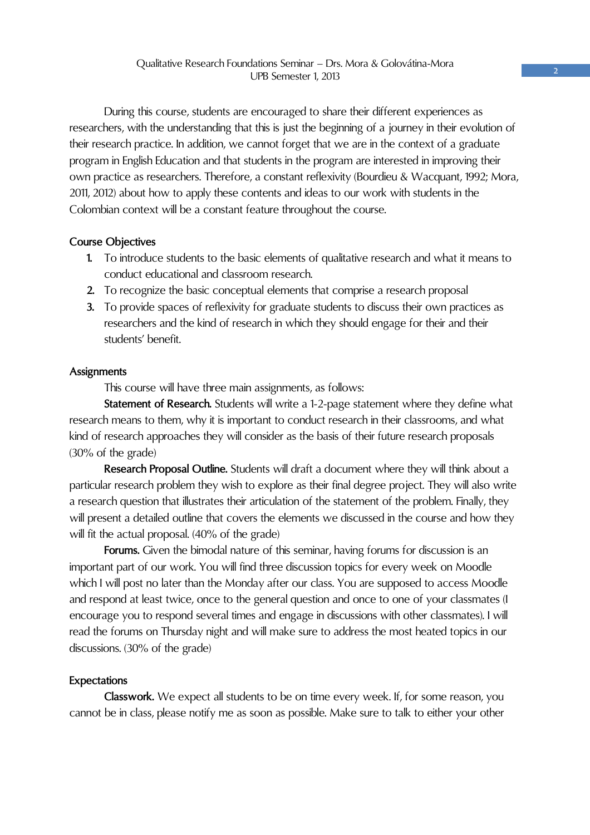During this course, students are encouraged to share their different experiences as researchers, with the understanding that this is just the beginning of a journey in their evolution of their research practice. In addition, we cannot forget that we are in the context of a graduate program in English Education and that students in the program are interested in improving their own practice as researchers. Therefore, a constant reflexivity (Bourdieu & Wacquant, 1992; Mora, 2011, 2012) about how to apply these contents and ideas to our work with students in the Colombian context will be a constant feature throughout the course.

### **Course Objectives**

- **1.** To introduce students to the basic elements of qualitative research and what it means to conduct educational and classroom research.
- **2.** To recognize the basic conceptual elements that comprise a research proposal
- **3.** To provide spaces of reflexivity for graduate students to discuss their own practices as researchers and the kind of research in which they should engage for their and their students' benefit.

### **Assignments**

This course will have three main assignments, as follows:

**Statement of Research.** Students will write a 1-2-page statement where they define what research means to them, why it is important to conduct research in their classrooms, and what kind of research approaches they will consider as the basis of their future research proposals (30% of the grade)

**Research Proposal Outline.** Students will draft a document where they will think about a particular research problem they wish to explore as their final degree project. They will also write a research question that illustrates their articulation of the statement of the problem. Finally, they will present a detailed outline that covers the elements we discussed in the course and how they will fit the actual proposal. (40% of the grade)

**Forums.** Given the bimodal nature of this seminar, having forums for discussion is an important part of our work. You will find three discussion topics for every week on Moodle which I will post no later than the Monday after our class. You are supposed to access Moodle and respond at least twice, once to the general question and once to one of your classmates (I encourage you to respond several times and engage in discussions with other classmates). I will read the forums on Thursday night and will make sure to address the most heated topics in our discussions. (30% of the grade)

### **Expectations**

**Classwork.** We expect all students to be on time every week. If, for some reason, you cannot be in class, please notify me as soon as possible. Make sure to talk to either your other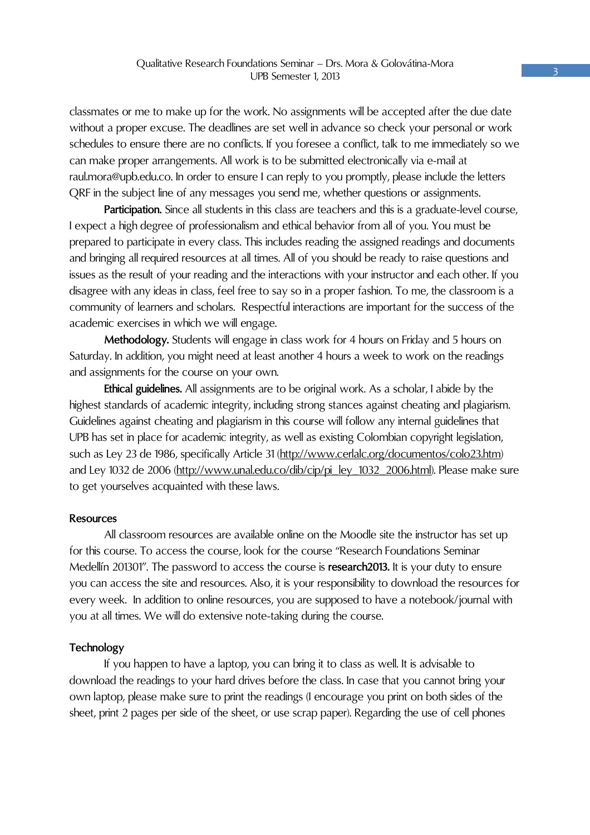classmates or me to make up for the work. No assignments will be accepted after the due date without a proper excuse. The deadlines are set well in advance so check your personal or work schedules to ensure there are no conflicts. If you foresee a conflict, talk to me immediately so we can make proper arrangements. All work is to be submitted electronically via e-mail at raul.mora@upb.edu.co. In order to ensure I can reply to you promptly, please include the letters QRF in the subject line of any messages you send me, whether questions or assignments.

Participation. Since all students in this class are teachers and this is a graduate-level course, I expect a high degree of professionalism and ethical behavior from all of you. You must be prepared to participate in every class. This includes reading the assigned readings and documents and bringing all required resources at all times. All of you should be ready to raise questions and issues as the result of your reading and the interactions with your instructor and each other. If you disagree with any ideas in class, feel free to say so in a proper fashion. To me, the classroom is a community of learners and scholars. Respectful interactions are important for the success of the academic exercises in which we will engage.

**Methodology.** Students will engage in class work for 4 hours on Friday and 5 hours on Saturday. In addition, you might need at least another 4 hours a week to work on the readings and assignments for the course on your own.

**Ethical guidelines.** All assignments are to be original work. As a scholar, I abide by the highest standards of academic integrity, including strong stances against cheating and plagiarism. Guidelines against cheating and plagiarism in this course will follow any internal guidelines that UPB has set in place for academic integrity, as well as existing Colombian copyright legislation, such as Ley 23 de 1986, specifically Article 31 (http://www.cerlalc.org/documentos/colo23.htm) and Ley 1032 de 2006 (http://www.unal.edu.co/dib/cip/pi\_ley\_1032\_2006.html). Please make sure to get yourselves acquainted with these laws.

### **Resources**

 All classroom resources are available online on the Moodle site the instructor has set up for this course. To access the course, look for the course "Research Foundations Seminar Medellín 201301". The password to access the course is **research2013.** It is your duty to ensure you can access the site and resources. Also, it is your responsibility to download the resources for every week. In addition to online resources, you are supposed to have a notebook/journal with you at all times. We will do extensive note-taking during the course.

#### **Technology**

If you happen to have a laptop, you can bring it to class as well. It is advisable to download the readings to your hard drives before the class. In case that you cannot bring your own laptop, please make sure to print the readings (I encourage you print on both sides of the sheet, print 2 pages per side of the sheet, or use scrap paper). Regarding the use of cell phones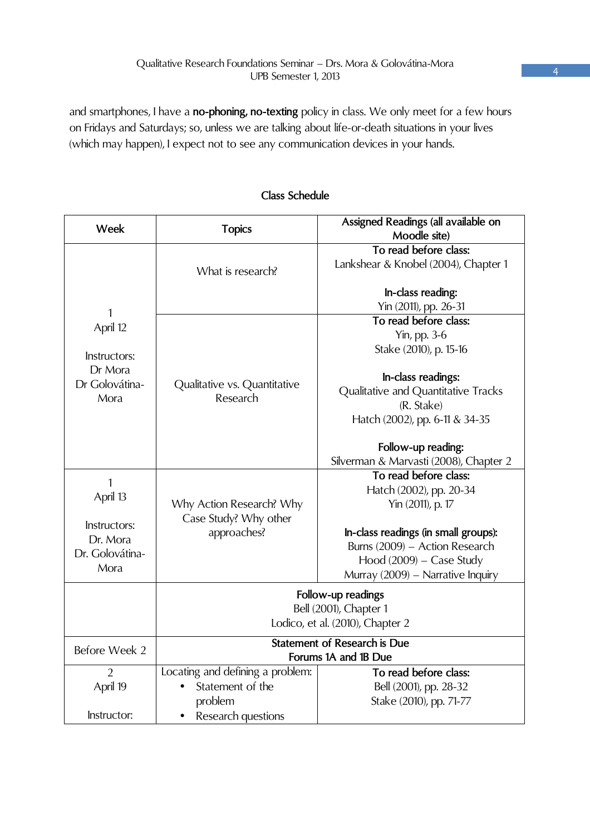and smartphones, I have a **no-phoning, no-texting** policy in class. We only meet for a few hours on Fridays and Saturdays; so, unless we are talking about life-or-death situations in your lives (which may happen), I expect not to see any communication devices in your hands.

| Week            | <b>Topics</b>                                               | Assigned Readings (all available on                       |  |
|-----------------|-------------------------------------------------------------|-----------------------------------------------------------|--|
|                 |                                                             | Moodle site)                                              |  |
| 1<br>April 12   | What is research?                                           | To read before class:                                     |  |
|                 |                                                             | Lankshear & Knobel (2004), Chapter 1                      |  |
|                 |                                                             |                                                           |  |
|                 |                                                             | In-class reading:                                         |  |
|                 |                                                             | Yin (2011), pp. 26-31<br>To read before class:            |  |
|                 |                                                             |                                                           |  |
|                 |                                                             | Yin, pp. 3-6                                              |  |
| Instructors:    |                                                             | Stake (2010), p. 15-16                                    |  |
| Dr Mora         |                                                             |                                                           |  |
| Dr Golovátina-  | Qualitative vs. Quantitative                                | In-class readings:<br>Qualitative and Quantitative Tracks |  |
| Mora            | Research                                                    | (R. Stake)                                                |  |
|                 |                                                             | Hatch (2002), pp. 6-11 & 34-35                            |  |
|                 |                                                             |                                                           |  |
|                 |                                                             | Follow-up reading:                                        |  |
|                 |                                                             | Silverman & Marvasti (2008), Chapter 2                    |  |
| 1               |                                                             | To read before class:                                     |  |
|                 |                                                             | Hatch (2002), pp. 20-34                                   |  |
| April 13        | Why Action Research? Why                                    | Yin (2011), p. 17                                         |  |
|                 | Case Study? Why other                                       |                                                           |  |
| Instructors:    | approaches?                                                 | In-class readings (in small groups):                      |  |
| Dr. Mora        |                                                             | Burns (2009) - Action Research                            |  |
| Dr. Golovátina- |                                                             | Hood $(2009)$ – Case Study                                |  |
| Mora            |                                                             | Murray (2009) - Narrative Inquiry                         |  |
|                 | Follow-up readings                                          |                                                           |  |
|                 |                                                             | Bell (2001), Chapter 1                                    |  |
|                 | Lodico, et al. (2010), Chapter 2                            |                                                           |  |
|                 |                                                             |                                                           |  |
| Before Week 2   | <b>Statement of Research is Due</b><br>Forums 1A and 1B Due |                                                           |  |
|                 |                                                             |                                                           |  |
| $\mathfrak{D}$  | Locating and defining a problem:                            | To read before class:                                     |  |
| April 19        | Statement of the                                            | Bell (2001), pp. 28-32                                    |  |
|                 | problem                                                     | Stake (2010), pp. 71-77                                   |  |
| Instructor:     | Research questions                                          |                                                           |  |

## **Class Schedule**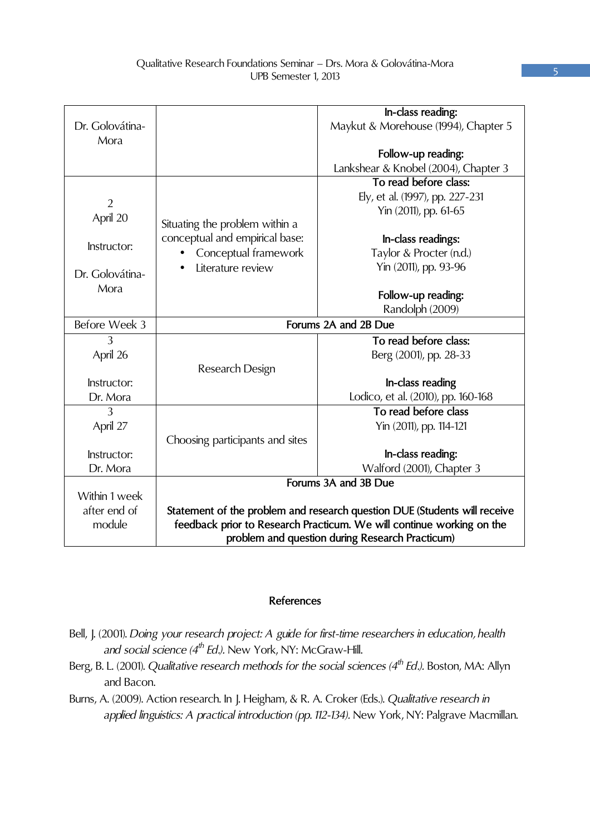|                 |                                                                           | In-class reading:                    |
|-----------------|---------------------------------------------------------------------------|--------------------------------------|
| Dr. Golovátina- |                                                                           | Maykut & Morehouse (1994), Chapter 5 |
| Mora            |                                                                           |                                      |
|                 |                                                                           | Follow-up reading:                   |
|                 |                                                                           | Lankshear & Knobel (2004), Chapter 3 |
|                 |                                                                           | To read before class:                |
|                 |                                                                           | Ely, et al. (1997), pp. 227-231      |
| $\overline{2}$  |                                                                           | Yin (2011), pp. 61-65                |
| April 20        | Situating the problem within a                                            |                                      |
|                 | conceptual and empirical base:                                            |                                      |
| Instructor:     |                                                                           | In-class readings:                   |
|                 | Conceptual framework                                                      | Taylor & Procter (n.d.)              |
| Dr. Golovátina- | Literature review                                                         | Yin (2011), pp. 93-96                |
| Mora            |                                                                           |                                      |
|                 |                                                                           | Follow-up reading:                   |
|                 |                                                                           | Randolph (2009)                      |
| Before Week 3   | Forums 2A and 2B Due                                                      |                                      |
| 3               |                                                                           | To read before class:                |
| April 26        |                                                                           | Berg (2001), pp. 28-33               |
|                 | Research Design                                                           |                                      |
| Instructor:     |                                                                           | In-class reading                     |
| Dr. Mora        |                                                                           | Lodico, et al. (2010), pp. 160-168   |
| 3               |                                                                           | To read before class                 |
| April 27        |                                                                           | Yin (2011), pp. 114-121              |
|                 | Choosing participants and sites                                           |                                      |
| Instructor:     |                                                                           | In-class reading:                    |
| Dr. Mora        |                                                                           | Walford (2001), Chapter 3            |
|                 | Forums 3A and 3B Due                                                      |                                      |
| Within 1 week   |                                                                           |                                      |
| after end of    | Statement of the problem and research question DUE (Students will receive |                                      |
| module          | feedback prior to Research Practicum. We will continue working on the     |                                      |
|                 | problem and question during Research Practicum)                           |                                      |
|                 |                                                                           |                                      |

### **References**

- Bell, J. (2001). *Doing your research project: A guide for first-time researchers in education, health and social science (4th Ed.).* New York, NY: McGraw-Hill.
- Berg, B. L. (2001). *Qualitative research methods for the social sciences (4th Ed.).* Boston, MA: Allyn and Bacon.
- Burns, A. (2009). Action research. In J. Heigham, & R. A. Croker (Eds.). *Qualitative research in applied linguistics: A practical introduction (pp. 112-134).* New York, NY: Palgrave Macmillan.